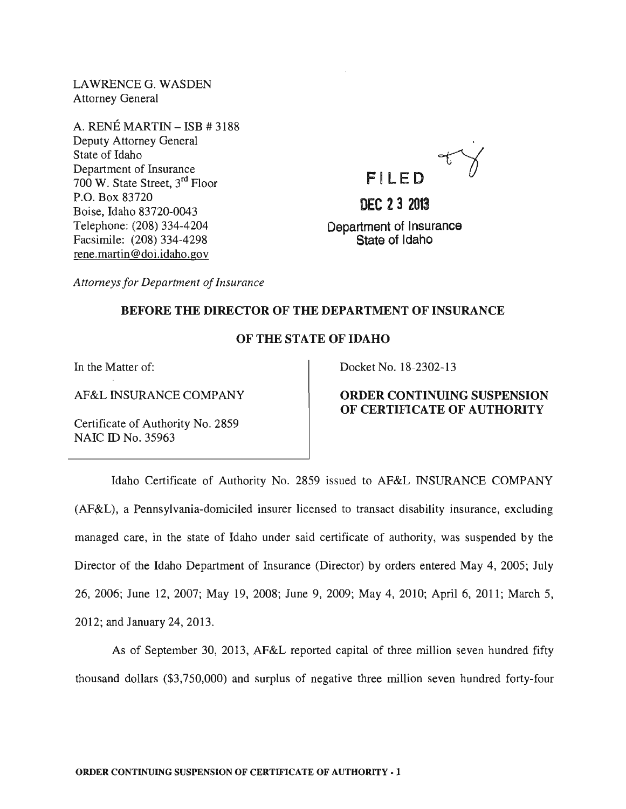LAWRENCEG. WASDEN Attorney General

A. RENÉ MARTIN - ISB # 3188 Deputy Attorney General State of Idaho Department of Insurance 700 W. State Street, 3rd Floor P.O. Box 83720 Boise, Idaho 83720-0043 Telephone: (208) 334-4204 Facsimile: (208) 334-4298 rene.martin@doi.idaho.gov



*Attorneys for Department of Insurance* 

### BEFORE THE DIRECTOR OF THE DEPARTMENT OF INSURANCE

#### OF THE STATE OF IDAHO

In the Matter of:

AF&L INSURANCE COMPANY

Certificate of Authority No. 2859 NAIC ID No. 35963

### Docket No. 18-2302-13

# ORDER CONTINUING SUSPENSION OF CERTIFICATE OF AUTHORITY

Idaho Certificate of Authority No. 2859 issued to AF&L INSURANCE COMPANY (AF¢tL) , a Pennsylvania-domiciled insurer licensed to transact disability insurance, excluding managed care, in the state of Idaho under said certificate of authority, was suspended by the Director of the Idaho Department of Insurance (Director) by orders entered May 4, 2005; July 26, 2006; June 12, 2007; May 19, 2008; June 9, 2009; May 4, 2010; April 6, 2011; March 5, 2012; and January 24,2013.

As of September 30, 2013, AF&L reported capital of three million seven hundred fifty thousand dollars (\$3,750,000) and surplus of negative three million seven hundred forty-four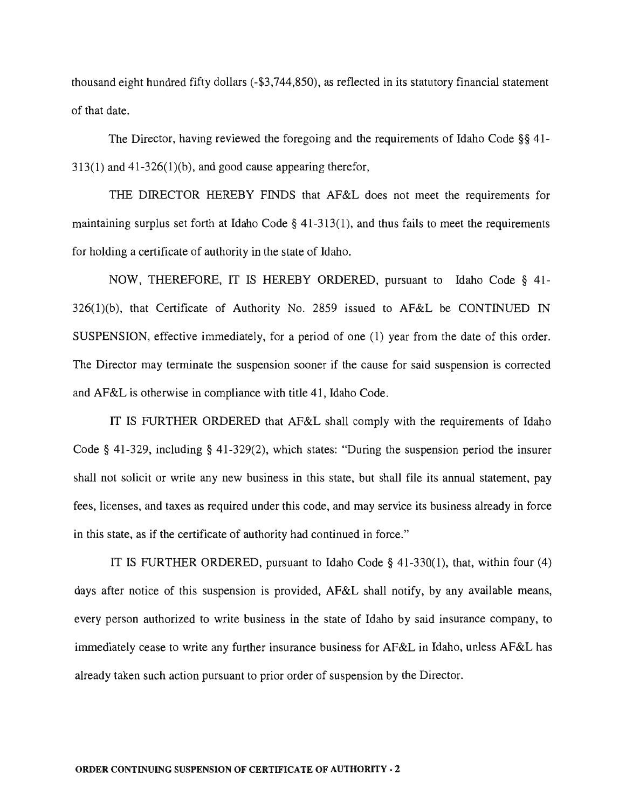thousand eight hundred fifty dollars (-\$3,744,850), as reflected in its statutory financial statement of that date.

The Director, having reviewed the foregoing and the requirements of Idaho Code §§ 41-  $313(1)$  and  $41-326(1)(b)$ , and good cause appearing therefor,

THE DIRECTOR HEREBY FINDS that AF&L does not meet the requirements for maintaining surplus set forth at Idaho Code  $\S$  41-313(1), and thus fails to meet the requirements for holding a certificate of authority in the state of Idaho.

NOW, THEREFORE, IT IS HEREBY ORDERED, pursuant to Idaho Code § 41- 326(1)(b), that Certificate of Authority No. 2859 issued to AF&L be CONTINUED IN SUSPENSION, effective immediately, for a period of one (1) year from the date of this order. The Director may terminate the suspension sooner if the cause for said suspension is corrected and AF&L is otherwise in compliance with title 41, Idaho Code.

IT IS FURTHER ORDERED that AF&L shall comply with the requirements of Idaho Code § 41-329, including § 41-329(2), which states: "During the suspension period the insurer shall not solicit or write any new business in this state, but shall file its annual statement, pay fees, licenses, and taxes as required under this code, and may service its business already in force in this state, as if the certificate of authority had continued in force."

IT IS FURTHER ORDERED, pursuant to Idaho Code § 41-330(1), that, within four (4) days after notice of this suspension is provided, AF&L shall notify, by any available means, every person authorized to write business in the state of Idaho by said insurance company, to immediately cease to write any further insurance business for AF&L in Idaho, unless AF&L has already taken such action pursuant to prior order of suspension by the Director.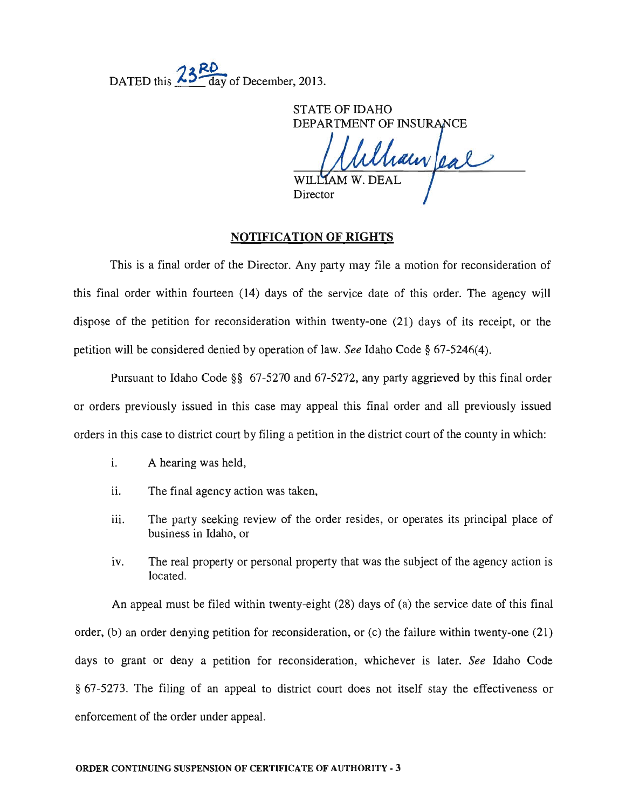DATED this  $\frac{13}{\text{day}}$  of December, 2013.

STATE OF IDAHO DEPARTMENT OF INSURANCE Maur/eal WILL

Director

## **NOTIFICATION OF RIGHTS**

This is a final order of the Director. Any party may file a motion for reconsideration of this final order within fourteen (14) days of the service date of this order. The agency will dispose of the petition for reconsideration within twenty-one (21) days of its receipt, or the petition will be considered denied by operation of law. *See* Idaho Code § 67-5246(4).

Pursuant to Idaho Code §§ 67-5270 and 67-5272, any party aggrieved by this final order or orders previously issued in this case may appeal this final order and all previously issued orders in this case to district court by filing a petition in the district court of the county in which:

- i. A hearing was held,
- ii. The final agency action was taken,
- iii. The party seeking review of the order resides, or operates its principal place of business in Idaho, or
- iv. The real property or personal property that was the subject of the agency action is located.

An appeal must be filed within twenty-eight (28) days of (a) the service date of this final order, (b) an order denying petition for reconsideration, or (c) the failure within twenty-one (21) days to grant or deny a petition for reconsideration, whichever is later. *See* Idaho Code § 67-5273. The filing of an appeal to district court does not itself stay the effectiveness or enforcement of the order under appeal.